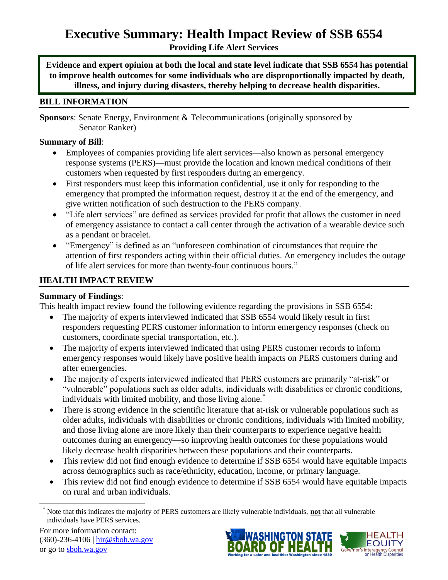# **Executive Summary: Health Impact Review of SSB 6554**

**Providing Life Alert Services**

**Evidence and expert opinion at both the local and state level indicate that SSB 6554 has potential to improve health outcomes for some individuals who are disproportionally impacted by death, illness, and injury during disasters, thereby helping to decrease health disparities.**

### **BILL INFORMATION**

**Sponsors**: Senate Energy, Environment & Telecommunications (originally sponsored by Senator Ranker)

## **Summary of Bill**:

- Employees of companies providing life alert services—also known as personal emergency response systems (PERS)—must provide the location and known medical conditions of their customers when requested by first responders during an emergency.
- First responders must keep this information confidential, use it only for responding to the emergency that prompted the information request, destroy it at the end of the emergency, and give written notification of such destruction to the PERS company.
- "Life alert services" are defined as services provided for profit that allows the customer in need of emergency assistance to contact a call center through the activation of a wearable device such as a pendant or bracelet.
- "Emergency" is defined as an "unforeseen combination of circumstances that require the attention of first responders acting within their official duties. An emergency includes the outage of life alert services for more than twenty-four continuous hours."

## **HEALTH IMPACT REVIEW**

## **Summary of Findings**:

This health impact review found the following evidence regarding the provisions in SSB 6554:

- The majority of experts interviewed indicated that SSB 6554 would likely result in first responders requesting PERS customer information to inform emergency responses (check on customers, coordinate special transportation, etc.).
- The majority of experts interviewed indicated that using PERS customer records to inform emergency responses would likely have positive health impacts on PERS customers during and after emergencies.
- The majority of experts interviewed indicated that PERS customers are primarily "at-risk" or "vulnerable" populations such as older adults, individuals with disabilities or chronic conditions, individuals with limited mobility, and those living alone.<sup>\*</sup>
- There is strong evidence in the scientific literature that at-risk or vulnerable populations such as older adults, individuals with disabilities or chronic conditions, individuals with limited mobility, and those living alone are more likely than their counterparts to experience negative health outcomes during an emergency—so improving health outcomes for these populations would likely decrease health disparities between these populations and their counterparts.
- This review did not find enough evidence to determine if SSB 6554 would have equitable impacts across demographics such as race/ethnicity, education, income, or primary language.
- This review did not find enough evidence to determine if SSB 6554 would have equitable impacts on rural and urban individuals.

 $\overline{\phantom{a}}$ 





<sup>\*</sup> Note that this indicates the majority of PERS customers are likely vulnerable individuals, **not** that all vulnerable individuals have PERS services.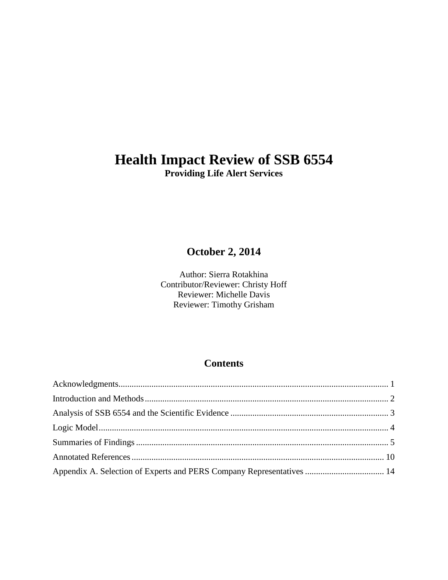# **Health Impact Review of SSB 6554**

**Providing Life Alert Services**

# **October 2, 2014**

Author: Sierra Rotakhina Contributor/Reviewer: Christy Hoff Reviewer: Michelle Davis Reviewer: Timothy Grisham

## **Contents**

| Appendix A. Selection of Experts and PERS Company Representatives  14 |  |
|-----------------------------------------------------------------------|--|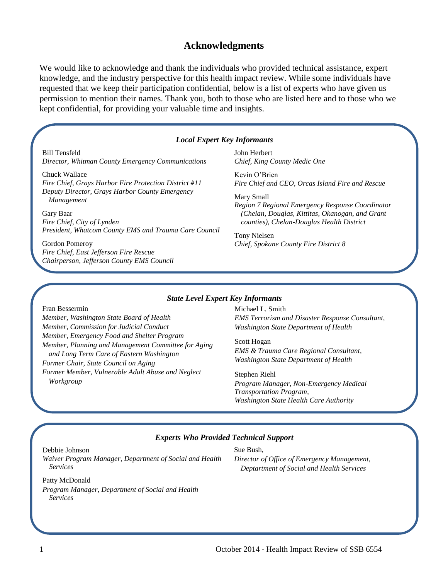#### **Acknowledgments**

<span id="page-2-0"></span>We would like to acknowledge and thank the individuals who provided technical assistance, expert knowledge, and the industry perspective for this health impact review. While some individuals have requested that we keep their participation confidential, below is a list of experts who have given us permission to mention their names. Thank you, both to those who are listed here and to those who we kept confidential, for providing your valuable time and insights.

#### *Local Expert Key Informants*

Bill Tensfeld *Director, Whitman County Emergency Communications* 

Chuck Wallace *Fire Chief, Grays Harbor Fire Protection District #11 Deputy Director, Grays Harbor County Emergency Management*

Gary Baar *Fire Chief, City of Lynden President, Whatcom County EMS and Trauma Care Council*

Gordon Pomeroy *Fire Chief, East Jefferson Fire Rescue Chairperson, Jefferson County EMS Council*  John Herbert *Chief, King County Medic One*

Kevin O'Brien *Fire Chief and CEO, Orcas Island Fire and Rescue*

Mary Small *Region 7 Regional Emergency Response Coordinator (Chelan, Douglas, Kittitas, Okanogan, and Grant counties), Chelan-Douglas Health District*

Tony Nielsen *Chief, Spokane County Fire District 8*

#### *State Level Expert Key Informants*

#### Fran Bessermin

*Member, Washington State Board of Health Member, Commission for Judicial Conduct Member, Emergency Food and Shelter Program Member, Planning and Management Committee for Aging and Long Term Care of Eastern Washington Former Chair, State Council on Aging Former Member, Vulnerable Adult Abuse and Neglect Workgroup*

Michael L. Smith *EMS Terrorism and Disaster Response Consultant, Washington State Department of Health*

Scott Hogan *EMS & Trauma Care Regional Consultant, Washington State Department of Health*

Stephen Riehl *Program Manager, Non-Emergency Medical Transportation Program, Washington State Health Care Authority*

#### *Experts Who Provided Technical Support*

Debbie Johnson *Waiver Program Manager, Department of Social and Health Services*

Sue Bush, *Director of Office of Emergency Management, Deptartment of Social and Health Services*

Patty McDonald *Program Manager, Department of Social and Health Services*

1 October 2014 - Health Impact Review of SSB 6554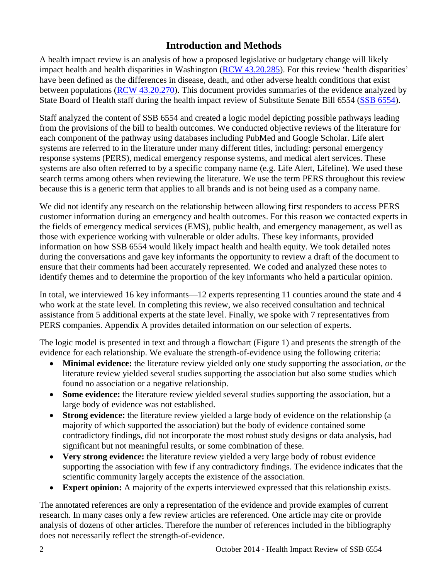# **Introduction and Methods**

<span id="page-3-0"></span>A health impact review is an analysis of how a proposed legislative or budgetary change will likely impact health and health disparities in Washington [\(RCW 43.20.285\)](http://apps.leg.wa.gov/rcw/default.aspx?cite=43.20.285). For this review 'health disparities' have been defined as the differences in disease, death, and other adverse health conditions that exist between populations [\(RCW 43.20.270\)](http://apps.leg.wa.gov/rcw/default.aspx?cite=43.20.270). This document provides summaries of the evidence analyzed by State Board of Health staff during the health impact review of Substitute Senate Bill 6554 [\(SSB 6554\)](http://apps.leg.wa.gov/billinfo/summary.aspx?bill=6554).

Staff analyzed the content of SSB 6554 and created a logic model depicting possible pathways leading from the provisions of the bill to health outcomes. We conducted objective reviews of the literature for each component of the pathway using databases including PubMed and Google Scholar. Life alert systems are referred to in the literature under many different titles, including: personal emergency response systems (PERS), medical emergency response systems, and medical alert services. These systems are also often referred to by a specific company name (e.g. Life Alert, Lifeline). We used these search terms among others when reviewing the literature. We use the term PERS throughout this review because this is a generic term that applies to all brands and is not being used as a company name.

We did not identify any research on the relationship between allowing first responders to access PERS customer information during an emergency and health outcomes. For this reason we contacted experts in the fields of emergency medical services (EMS), public health, and emergency management, as well as those with experience working with vulnerable or older adults. These key informants, provided information on how SSB 6554 would likely impact health and health equity. We took detailed notes during the conversations and gave key informants the opportunity to review a draft of the document to ensure that their comments had been accurately represented. We coded and analyzed these notes to identify themes and to determine the proportion of the key informants who held a particular opinion.

In total, we interviewed 16 key informants—12 experts representing 11 counties around the state and 4 who work at the state level. In completing this review, we also received consultation and technical assistance from 5 additional experts at the state level. Finally, we spoke with 7 representatives from PERS companies. Appendix A provides detailed information on our selection of experts.

The logic model is presented in text and through a flowchart (Figure 1) and presents the strength of the evidence for each relationship. We evaluate the strength-of-evidence using the following criteria:

- **Minimal evidence:** the literature review yielded only one study supporting the association, *or* the literature review yielded several studies supporting the association but also some studies which found no association or a negative relationship.
- **Some evidence:** the literature review yielded several studies supporting the association, but a large body of evidence was not established.
- **Strong evidence:** the literature review yielded a large body of evidence on the relationship (a majority of which supported the association) but the body of evidence contained some contradictory findings, did not incorporate the most robust study designs or data analysis, had significant but not meaningful results, or some combination of these.
- **Very strong evidence:** the literature review yielded a very large body of robust evidence supporting the association with few if any contradictory findings. The evidence indicates that the scientific community largely accepts the existence of the association.
- **Expert opinion:** A majority of the experts interviewed expressed that this relationship exists.

The annotated references are only a representation of the evidence and provide examples of current research. In many cases only a few review articles are referenced. One article may cite or provide analysis of dozens of other articles. Therefore the number of references included in the bibliography does not necessarily reflect the strength-of-evidence.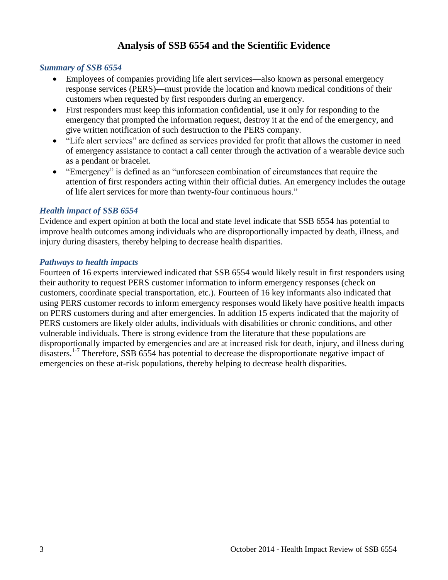## **Analysis of SSB 6554 and the Scientific Evidence**

#### <span id="page-4-0"></span>*Summary of SSB 6554*

- Employees of companies providing life alert services—also known as personal emergency response services (PERS)—must provide the location and known medical conditions of their customers when requested by first responders during an emergency.
- First responders must keep this information confidential, use it only for responding to the emergency that prompted the information request, destroy it at the end of the emergency, and give written notification of such destruction to the PERS company.
- "Life alert services" are defined as services provided for profit that allows the customer in need of emergency assistance to contact a call center through the activation of a wearable device such as a pendant or bracelet.
- "Emergency" is defined as an "unforeseen combination of circumstances that require the attention of first responders acting within their official duties. An emergency includes the outage of life alert services for more than twenty-four continuous hours."

#### *Health impact of SSB 6554*

Evidence and expert opinion at both the local and state level indicate that SSB 6554 has potential to improve health outcomes among individuals who are disproportionally impacted by death, illness, and injury during disasters, thereby helping to decrease health disparities.

#### *Pathways to health impacts*

Fourteen of 16 experts interviewed indicated that SSB 6554 would likely result in first responders using their authority to request PERS customer information to inform emergency responses (check on customers, coordinate special transportation, etc.). Fourteen of 16 key informants also indicated that using PERS customer records to inform emergency responses would likely have positive health impacts on PERS customers during and after emergencies. In addition 15 experts indicated that the majority of PERS customers are likely older adults, individuals with disabilities or chronic conditions, and other vulnerable individuals. There is strong evidence from the literature that these populations are disproportionally impacted by emergencies and are at increased risk for death, injury, and illness during disasters.<sup>[1-7](#page-11-1)</sup> Therefore, SSB 6554 has potential to decrease the disproportionate negative impact of emergencies on these at-risk populations, thereby helping to decrease health disparities.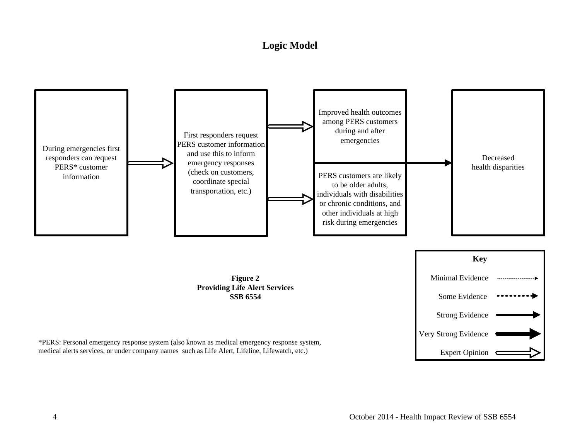## **Logic Model**

<span id="page-5-0"></span>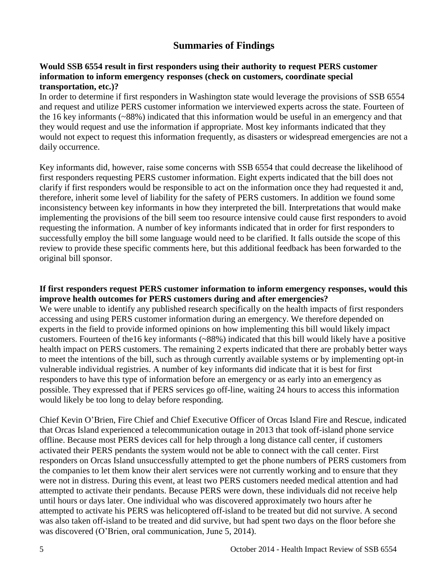## **Summaries of Findings**

#### <span id="page-6-0"></span>**Would SSB 6554 result in first responders using their authority to request PERS customer information to inform emergency responses (check on customers, coordinate special transportation, etc.)?**

In order to determine if first responders in Washington state would leverage the provisions of SSB 6554 and request and utilize PERS customer information we interviewed experts across the state. Fourteen of the 16 key informants (~88%) indicated that this information would be useful in an emergency and that they would request and use the information if appropriate. Most key informants indicated that they would not expect to request this information frequently, as disasters or widespread emergencies are not a daily occurrence.

Key informants did, however, raise some concerns with SSB 6554 that could decrease the likelihood of first responders requesting PERS customer information. Eight experts indicated that the bill does not clarify if first responders would be responsible to act on the information once they had requested it and, therefore, inherit some level of liability for the safety of PERS customers. In addition we found some inconsistency between key informants in how they interpreted the bill. Interpretations that would make implementing the provisions of the bill seem too resource intensive could cause first responders to avoid requesting the information. A number of key informants indicated that in order for first responders to successfully employ the bill some language would need to be clarified. It falls outside the scope of this review to provide these specific comments here, but this additional feedback has been forwarded to the original bill sponsor.

#### **If first responders request PERS customer information to inform emergency responses, would this improve health outcomes for PERS customers during and after emergencies?**

We were unable to identify any published research specifically on the health impacts of first responders accessing and using PERS customer information during an emergency. We therefore depended on experts in the field to provide informed opinions on how implementing this bill would likely impact customers. Fourteen of the16 key informants (~88%) indicated that this bill would likely have a positive health impact on PERS customers. The remaining 2 experts indicated that there are probably better ways to meet the intentions of the bill, such as through currently available systems or by implementing opt-in vulnerable individual registries. A number of key informants did indicate that it is best for first responders to have this type of information before an emergency or as early into an emergency as possible. They expressed that if PERS services go off-line, waiting 24 hours to access this information would likely be too long to delay before responding.

Chief Kevin O'Brien, Fire Chief and Chief Executive Officer of Orcas Island Fire and Rescue, indicated that Orcas Island experienced a telecommunication outage in 2013 that took off-island phone service offline. Because most PERS devices call for help through a long distance call center, if customers activated their PERS pendants the system would not be able to connect with the call center. First responders on Orcas Island unsuccessfully attempted to get the phone numbers of PERS customers from the companies to let them know their alert services were not currently working and to ensure that they were not in distress. During this event, at least two PERS customers needed medical attention and had attempted to activate their pendants. Because PERS were down, these individuals did not receive help until hours or days later. One individual who was discovered approximately two hours after he attempted to activate his PERS was helicoptered off-island to be treated but did not survive. A second was also taken off-island to be treated and did survive, but had spent two days on the floor before she was discovered (O'Brien, oral communication, June 5, 2014).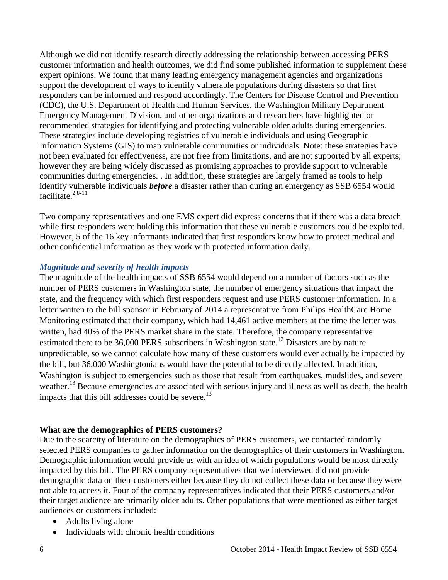Although we did not identify research directly addressing the relationship between accessing PERS customer information and health outcomes, we did find some published information to supplement these expert opinions. We found that many leading emergency management agencies and organizations support the development of ways to identify vulnerable populations during disasters so that first responders can be informed and respond accordingly. The Centers for Disease Control and Prevention (CDC), the U.S. Department of Health and Human Services, the Washington Military Department Emergency Management Division, and other organizations and researchers have highlighted or recommended strategies for identifying and protecting vulnerable older adults during emergencies. These strategies include developing registries of vulnerable individuals and using Geographic Information Systems (GIS) to map vulnerable communities or individuals. Note: these strategies have not been evaluated for effectiveness, are not free from limitations, and are not supported by all experts; however they are being widely discussed as promising approaches to provide support to vulnerable communities during emergencies. . In addition, these strategies are largely framed as tools to help identify vulnerable individuals *before* a disaster rather than during an emergency as SSB 6554 would facilitate. [2,](#page-11-2)[8-11](#page-13-0)

Two company representatives and one EMS expert did express concerns that if there was a data breach while first responders were holding this information that these vulnerable customers could be exploited. However, 5 of the 16 key informants indicated that first responders know how to protect medical and other confidential information as they work with protected information daily.

#### *Magnitude and severity of health impacts*

The magnitude of the health impacts of SSB 6554 would depend on a number of factors such as the number of PERS customers in Washington state, the number of emergency situations that impact the state, and the frequency with which first responders request and use PERS customer information. In a letter written to the bill sponsor in February of 2014 a representative from Philips HealthCare Home Monitoring estimated that their company, which had 14,461 active members at the time the letter was written, had 40% of the PERS market share in the state. Therefore, the company representative estimated there to be  $36,000$  PERS subscribers in Washington state.<sup>12</sup> Disasters are by nature unpredictable, so we cannot calculate how many of these customers would ever actually be impacted by the bill, but 36,000 Washingtonians would have the potential to be directly affected. In addition, Washington is subject to emergencies such as those that result from earthquakes, mudslides, and severe weather.<sup>13</sup> Because emergencies are associated with serious injury and illness as well as death, the health impacts that this bill addresses could be severe.<sup>13</sup>

#### **What are the demographics of PERS customers?**

Due to the scarcity of literature on the demographics of PERS customers, we contacted randomly selected PERS companies to gather information on the demographics of their customers in Washington. Demographic information would provide us with an idea of which populations would be most directly impacted by this bill. The PERS company representatives that we interviewed did not provide demographic data on their customers either because they do not collect these data or because they were not able to access it. Four of the company representatives indicated that their PERS customers and/or their target audience are primarily older adults. Other populations that were mentioned as either target audiences or customers included:

- Adults living alone
- Individuals with chronic health conditions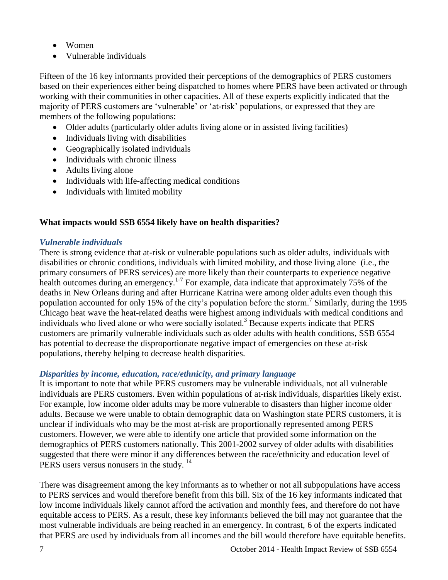- Women
- Vulnerable individuals

Fifteen of the 16 key informants provided their perceptions of the demographics of PERS customers based on their experiences either being dispatched to homes where PERS have been activated or through working with their communities in other capacities. All of these experts explicitly indicated that the majority of PERS customers are 'vulnerable' or 'at-risk' populations, or expressed that they are members of the following populations:

- Older adults (particularly older adults living alone or in assisted living facilities)
- Individuals living with disabilities
- Geographically isolated individuals
- Individuals with chronic illness
- Adults living alone
- Individuals with life-affecting medical conditions
- Individuals with limited mobility

#### **What impacts would SSB 6554 likely have on health disparities?**

#### *Vulnerable individuals*

There is strong evidence that at-risk or vulnerable populations such as older adults, individuals with disabilities or chronic conditions, individuals with limited mobility, and those living alone (i.e., the primary consumers of PERS services) are more likely than their counterparts to experience negative health outcomes during an emergency.<sup>[1-7](#page-11-1)</sup> For example, data indicate that approximately 75% of the deaths in New Orleans during and after Hurricane Katrina were among older adults even though this population accounted for only 15% of the city's population before the storm[.](#page-12-0)<sup>7</sup> Similarly, during the 1995 Chicago heat wave the heat-related deaths were highest among individuals with medical conditions and individuals who lived alone or who were socially isolated[.](#page-11-3) <sup>3</sup> Because experts indicate that PERS customers are primarily vulnerable individuals such as older adults with health conditions, SSB 6554 has potential to decrease the disproportionate negative impact of emergencies on these at-risk populations, thereby helping to decrease health disparities.

#### *Disparities by income, education, race/ethnicity, and primary language*

It is important to note that while PERS customers may be vulnerable individuals, not all vulnerable individuals are PERS customers. Even within populations of at-risk individuals, disparities likely exist. For example, low income older adults may be more vulnerable to disasters than higher income older adults. Because we were unable to obtain demographic data on Washington state PERS customers, it is unclear if individuals who may be the most at-risk are proportionally represented among PERS customers. However, we were able to identify one article that provided some information on the demographics of PERS customers nationally. This 2001-2002 survey of older adults with disabilities suggested that there were minor if any differences between the race/ethnicity and education level of PERS users versus nonusers in the study.<sup>14</sup>

There was disagreement among the key informants as to whether or not all subpopulations have access to PERS services and would therefore benefit from this bill. Six of the 16 key informants indicated that low income individuals likely cannot afford the activation and monthly fees, and therefore do not have equitable access to PERS. As a result, these key informants believed the bill may not guarantee that the most vulnerable individuals are being reached in an emergency. In contrast, 6 of the experts indicated that PERS are used by individuals from all incomes and the bill would therefore have equitable benefits.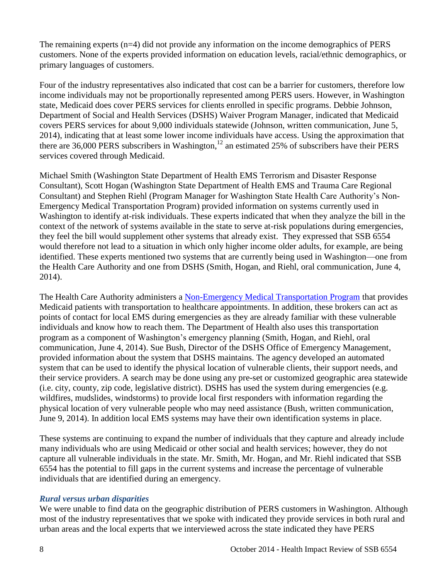The remaining experts (n=4) did not provide any information on the income demographics of PERS customers. None of the experts provided information on education levels, racial/ethnic demographics, or primary languages of customers.

Four of the industry representatives also indicated that cost can be a barrier for customers, therefore low income individuals may not be proportionally represented among PERS users. However, in Washington state, Medicaid does cover PERS services for clients enrolled in specific programs. Debbie Johnson, Department of Social and Health Services (DSHS) Waiver Program Manager, indicated that Medicaid covers PERS services for about 9,000 individuals statewide (Johnson, written communication, June 5, 2014), indicating that at least some lower income individuals have access. Using the approximation that there are 36,000 PERS subscribers in Washington, $^{12}$  an estimated 25% of subscribers have their PERS services covered through Medicaid.

Michael Smith (Washington State Department of Health EMS Terrorism and Disaster Response Consultant), Scott Hogan (Washington State Department of Health EMS and Trauma Care Regional Consultant) and Stephen Riehl (Program Manager for Washington State Health Care Authority's Non-Emergency Medical Transportation Program) provided information on systems currently used in Washington to identify at-risk individuals. These experts indicated that when they analyze the bill in the context of the network of systems available in the state to serve at-risk populations during emergencies, they feel the bill would supplement other systems that already exist. They expressed that SSB 6554 would therefore not lead to a situation in which only higher income older adults, for example, are being identified. These experts mentioned two systems that are currently being used in Washington—one from the Health Care Authority and one from DSHS (Smith, Hogan, and Riehl, oral communication, June 4, 2014).

The Health Care Authority administers a [Non-Emergency Medical Transportation Program](http://www.hca.wa.gov/medicaid/transportation/Pages/index.aspx) that provides Medicaid patients with transportation to healthcare appointments. In addition, these brokers can act as points of contact for local EMS during emergencies as they are already familiar with these vulnerable individuals and know how to reach them. The Department of Health also uses this transportation program as a component of Washington's emergency planning (Smith, Hogan, and Riehl, oral communication, June 4, 2014). Sue Bush, Director of the DSHS Office of Emergency Management, provided information about the system that DSHS maintains. The agency developed an automated system that can be used to identify the physical location of vulnerable clients, their support needs, and their service providers. A search may be done using any pre-set or customized geographic area statewide (i.e. city, county, zip code, legislative district). DSHS has used the system during emergencies (e.g. wildfires, mudslides, windstorms) to provide local first responders with information regarding the physical location of very vulnerable people who may need assistance (Bush, written communication, June 9, 2014). In addition local EMS systems may have their own identification systems in place.

These systems are continuing to expand the number of individuals that they capture and already include many individuals who are using Medicaid or other social and health services; however, they do not capture all vulnerable individuals in the state. Mr. Smith, Mr. Hogan, and Mr. Riehl indicated that SSB 6554 has the potential to fill gaps in the current systems and increase the percentage of vulnerable individuals that are identified during an emergency.

#### *Rural versus urban disparities*

We were unable to find data on the geographic distribution of PERS customers in Washington. Although most of the industry representatives that we spoke with indicated they provide services in both rural and urban areas and the local experts that we interviewed across the state indicated they have PERS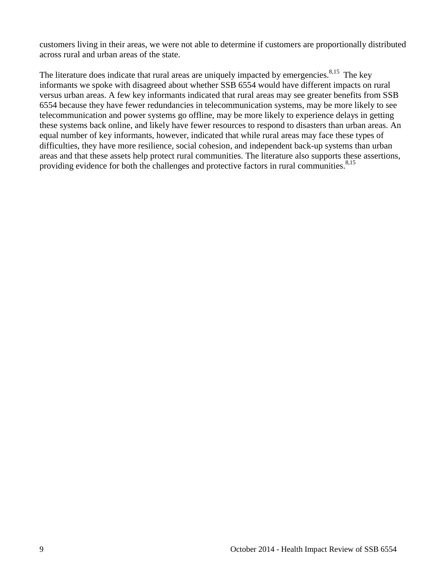customers living in their areas, we were not able to determine if customers are proportionally distributed across rural and urban areas of the state.

The literature does indicate that rural areas are uniquely impacted by emergencies.<sup>[8,1](#page-13-0)5</sup> The key informants we spoke with disagreed about whether SSB 6554 would have different impacts on rural versus urban areas. A few key informants indicated that rural areas may see greater benefits from SSB 6554 because they have fewer redundancies in telecommunication systems, may be more likely to see telecommunication and power systems go offline, may be more likely to experience delays in getting these systems back online, and likely have fewer resources to respond to disasters than urban areas. An equal number of key informants, however, indicated that while rural areas may face these types of difficulties, they have more resilience, social cohesion, and independent back-up systems than urban areas and that these assets help protect rural communities. The literature also supports these assertions, providing evidence for both the challenges and protective factors in rural communities.<sup>[8,](#page-13-0)15</sup>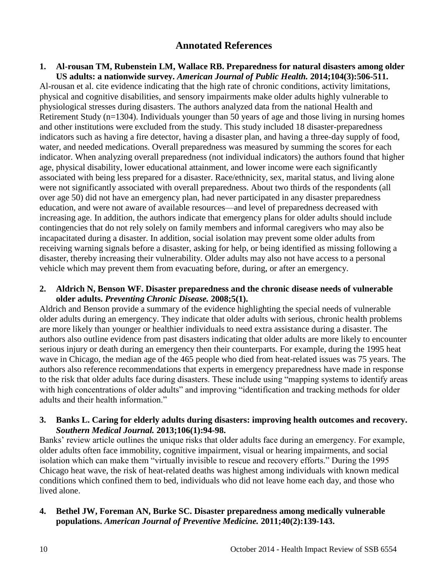## **Annotated References**

#### <span id="page-11-1"></span><span id="page-11-0"></span>**1. Al-rousan TM, Rubenstein LM, Wallace RB. Preparedness for natural disasters among older US adults: a nationwide survey.** *American Journal of Public Health.* **2014;104(3):506-511.**

Al-rousan et al. cite evidence indicating that the high rate of chronic conditions, activity limitations, physical and cognitive disabilities, and sensory impairments make older adults highly vulnerable to physiological stresses during disasters. The authors analyzed data from the national Health and Retirement Study (n=1304). Individuals younger than 50 years of age and those living in nursing homes and other institutions were excluded from the study. This study included 18 disaster-preparedness indicators such as having a fire detector, having a disaster plan, and having a three-day supply of food, water, and needed medications. Overall preparedness was measured by summing the scores for each indicator. When analyzing overall preparedness (not individual indicators) the authors found that higher age, physical disability, lower educational attainment, and lower income were each significantly associated with being less prepared for a disaster. Race/ethnicity, sex, marital status, and living alone were not significantly associated with overall preparedness. About two thirds of the respondents (all over age 50) did not have an emergency plan, had never participated in any disaster preparedness education, and were not aware of available resources—and level of preparedness decreased with increasing age. In addition, the authors indicate that emergency plans for older adults should include contingencies that do not rely solely on family members and informal caregivers who may also be incapacitated during a disaster. In addition, social isolation may prevent some older adults from receiving warning signals before a disaster, asking for help, or being identified as missing following a disaster, thereby increasing their vulnerability. Older adults may also not have access to a personal vehicle which may prevent them from evacuating before, during, or after an emergency.

#### <span id="page-11-2"></span>**2. Aldrich N, Benson WF. Disaster preparedness and the chronic disease needs of vulnerable older adults.** *Preventing Chronic Disease.* **2008;5(1).**

Aldrich and Benson provide a summary of the evidence highlighting the special needs of vulnerable older adults during an emergency. They indicate that older adults with serious, chronic health problems are more likely than younger or healthier individuals to need extra assistance during a disaster. The authors also outline evidence from past disasters indicating that older adults are more likely to encounter serious injury or death during an emergency then their counterparts. For example, during the 1995 heat wave in Chicago, the median age of the 465 people who died from heat-related issues was 75 years. The authors also reference recommendations that experts in emergency preparedness have made in response to the risk that older adults face during disasters. These include using "mapping systems to identify areas with high concentrations of older adults" and improving "identification and tracking methods for older adults and their health information."

#### <span id="page-11-3"></span>**3. Banks L. Caring for elderly adults during disasters: improving health outcomes and recovery.**  *Southern Medical Journal.* **2013;106(1):94-98.**

Banks' review article outlines the unique risks that older adults face during an emergency. For example, older adults often face immobility, cognitive impairment, visual or hearing impairments, and social isolation which can make them "virtually invisible to rescue and recovery efforts." During the 1995 Chicago heat wave, the risk of heat-related deaths was highest among individuals with known medical conditions which confined them to bed, individuals who did not leave home each day, and those who lived alone.

#### **4. Bethel JW, Foreman AN, Burke SC. Disaster preparedness among medically vulnerable populations.** *American Journal of Preventive Medicine.* **2011;40(2):139-143.**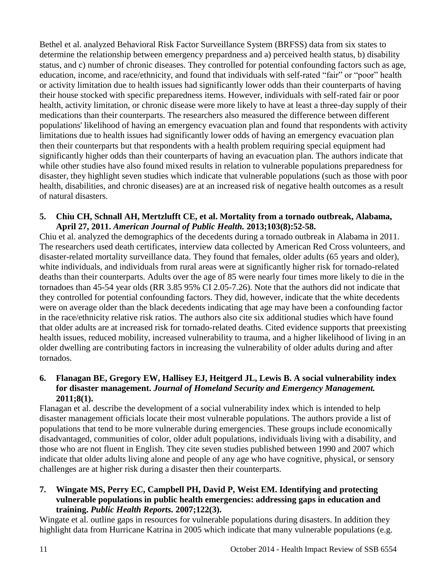Bethel et al. analyzed Behavioral Risk Factor Surveillance System (BRFSS) data from six states to determine the relationship between emergency prepardness and a) perceived health status, b) disability status, and c) number of chronic diseases. They controlled for potential confounding factors such as age, education, income, and race/ethnicity, and found that individuals with self-rated "fair" or "poor" health or activity limitation due to health issues had significantly lower odds than their counterparts of having their house stocked with specific preparedness items. However, individuals with self-rated fair or poor health, activity limitation, or chronic disease were more likely to have at least a three-day supply of their medications than their counterparts. The researchers also measured the difference between different populations' likelihood of having an emergency evacuation plan and found that respondents with activity limitations due to health issues had significantly lower odds of having an emergency evacuation plan then their counterparts but that respondents with a health problem requiring special equipment had significantly higher odds than their counterparts of having an evacuation plan. The authors indicate that while other studies have also found mixed results in relation to vulnerable populations preparedness for disaster, they highlight seven studies which indicate that vulnerable populations (such as those with poor health, disabilities, and chronic diseases) are at an increased risk of negative health outcomes as a result of natural disasters.

#### **5. Chiu CH, Schnall AH, Mertzlufft CE, et al. Mortality from a tornado outbreak, Alabama, April 27, 2011.** *American Journal of Public Health.* **2013;103(8):52-58.**

Chiu et al. analyzed the demographics of the decedents during a tornado outbreak in Alabama in 2011. The researchers used death certificates, interview data collected by American Red Cross volunteers, and disaster-related mortality surveillance data. They found that females, older adults (65 years and older), white individuals, and individuals from rural areas were at significantly higher risk for tornado-related deaths than their counterparts. Adults over the age of 85 were nearly four times more likely to die in the tornadoes than 45-54 year olds (RR 3.85 95% CI 2.05-7.26). Note that the authors did not indicate that they controlled for potential confounding factors. They did, however, indicate that the white decedents were on average older than the black decedents indicating that age may have been a confounding factor in the race/ethnicity relative risk ratios. The authors also cite six additional studies which have found that older adults are at increased risk for tornado-related deaths. Cited evidence supports that preexisting health issues, reduced mobility, increased vulnerability to trauma, and a higher likelihood of living in an older dwelling are contributing factors in increasing the vulnerability of older adults during and after tornados.

### **6. Flanagan BE, Gregory EW, Hallisey EJ, Heitgerd JL, Lewis B. A social vulnerability index for disaster management.** *Journal of Homeland Security and Emergency Management.*  **2011;8(1).**

Flanagan et al. describe the development of a social vulnerability index which is intended to help disaster management officials locate their most vulnerable populations. The authors provide a list of populations that tend to be more vulnerable during emergencies. These groups include economically disadvantaged, communities of color, older adult populations, individuals living with a disability, and those who are not fluent in English. They cite seven studies published between 1990 and 2007 which indicate that older adults living alone and people of any age who have cognitive, physical, or sensory challenges are at higher risk during a disaster then their counterparts.

#### <span id="page-12-0"></span>**7. Wingate MS, Perry EC, Campbell PH, David P, Weist EM. Identifying and protecting vulnerable populations in public health emergencies: addressing gaps in education and training.** *Public Health Reports.* **2007;122(3).**

Wingate et al. outline gaps in resources for vulnerable populations during disasters. In addition they highlight data from Hurricane Katrina in 2005 which indicate that many vulnerable populations (e.g.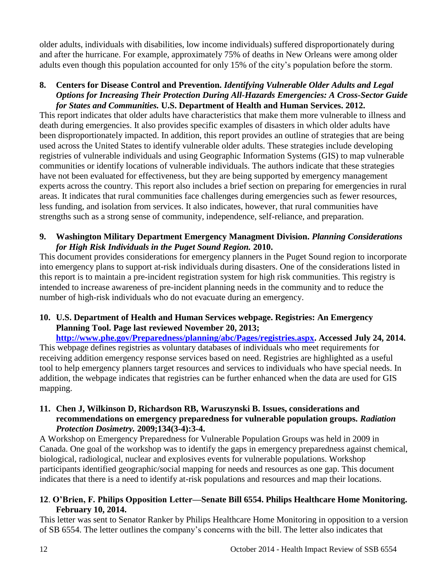older adults, individuals with disabilities, low income individuals) suffered disproportionately during and after the hurricane. For example, approximately 75% of deaths in New Orleans were among older adults even though this population accounted for only 15% of the city's population before the storm.

#### <span id="page-13-0"></span>**8. Centers for Disease Control and Prevention.** *Identifying Vulnerable Older Adults and Legal Options for Increasing Their Protection During All-Hazards Emergencies: A Cross-Sector Guide for States and Communities.* **U.S. Department of Health and Human Services. 2012.**

This report indicates that older adults have characteristics that make them more vulnerable to illness and death during emergencies. It also provides specific examples of disasters in which older adults have been disproportionately impacted. In addition, this report provides an outline of strategies that are being used across the United States to identify vulnerable older adults. These strategies include developing registries of vulnerable individuals and using Geographic Information Systems (GIS) to map vulnerable communities or identify locations of vulnerable individuals. The authors indicate that these strategies have not been evaluated for effectiveness, but they are being supported by emergency management experts across the country. This report also includes a brief section on preparing for emergencies in rural areas. It indicates that rural communities face challenges during emergencies such as fewer resources, less funding, and isolation from services. It also indicates, however, that rural communities have strengths such as a strong sense of community, independence, self-reliance, and preparation.

### **9. Washington Military Department Emergency Managment Division.** *Planning Considerations for High Risk Individuals in the Puget Sound Region.* **2010.**

This document provides considerations for emergency planners in the Puget Sound region to incorporate into emergency plans to support at-risk individuals during disasters. One of the considerations listed in this report is to maintain a pre-incident registration system for high risk communities. This registry is intended to increase awareness of pre-incident planning needs in the community and to reduce the number of high-risk individuals who do not evacuate during an emergency.

### **10. U.S. Department of Health and Human Services webpage. Registries: An Emergency Planning Tool. Page last reviewed November 20, 2013;**

**[http://www.phe.gov/Preparedness/planning/abc/Pages/registries.aspx.](http://www.phe.gov/Preparedness/planning/abc/Pages/registries.aspx) Accessed July 24, 2014.** This webpage defines registries as voluntary databases of individuals who meet requirements for receiving addition emergency response services based on need. Registries are highlighted as a useful tool to help emergency planners target resources and services to individuals who have special needs. In addition, the webpage indicates that registries can be further enhanced when the data are used for GIS mapping.

#### **11. Chen J, Wilkinson D, Richardson RB, Waruszynski B. Issues, considerations and recommendations on emergency preparedness for vulnerable population groups.** *Radiation Protection Dosimetry.* **2009;134(3-4):3-4.**

A Workshop on Emergency Preparedness for Vulnerable Population Groups was held in 2009 in Canada. One goal of the workshop was to identify the gaps in emergency preparedness against chemical, biological, radiological, nuclear and explosives events for vulnerable populations. Workshop participants identified geographic/social mapping for needs and resources as one gap. This document indicates that there is a need to identify at-risk populations and resources and map their locations.

#### **12**. **O'Brien, F. Philips Opposition Letter—Senate Bill 6554. Philips Healthcare Home Monitoring. February 10, 2014.**

This letter was sent to Senator Ranker by Philips Healthcare Home Monitoring in opposition to a version of SB 6554. The letter outlines the company's concerns with the bill. The letter also indicates that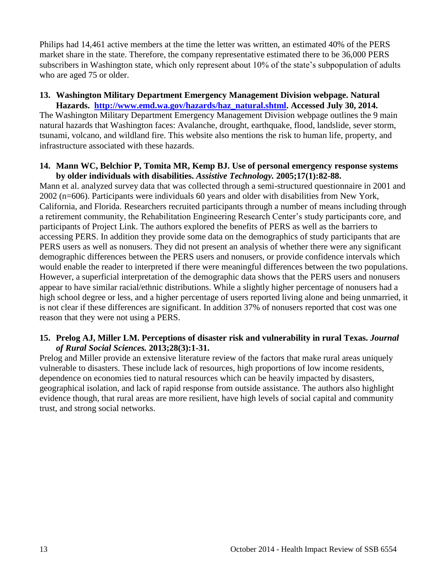Philips had 14,461 active members at the time the letter was written, an estimated 40% of the PERS market share in the state. Therefore, the company representative estimated there to be 36,000 PERS subscribers in Washington state, which only represent about 10% of the state's subpopulation of adults who are aged 75 or older.

## **13. Washington Military Department Emergency Management Division webpage. Natural**

**Hazards. [http://www.emd.wa.gov/hazards/haz\\_natural.shtml.](http://www.emd.wa.gov/hazards/haz_natural.shtml) Accessed July 30, 2014.** The Washington Military Department Emergency Management Division webpage outlines the 9 main natural hazards that Washington faces: Avalanche, drought, earthquake, flood, landslide, sever storm, tsunami, volcano, and wildland fire. This website also mentions the risk to human life, property, and infrastructure associated with these hazards.

#### **14. Mann WC, Belchior P, Tomita MR, Kemp BJ. Use of personal emergency response systems by older individuals with disabilities.** *Assistive Technology.* **2005;17(1):82-88.**

Mann et al. analyzed survey data that was collected through a semi-structured questionnaire in 2001 and 2002 (n=606). Participants were individuals 60 years and older with disabilities from New York, California, and Florida. Researchers recruited participants through a number of means including through a retirement community, the Rehabilitation Engineering Research Center's study participants core, and participants of Project Link. The authors explored the benefits of PERS as well as the barriers to accessing PERS. In addition they provide some data on the demographics of study participants that are PERS users as well as nonusers. They did not present an analysis of whether there were any significant demographic differences between the PERS users and nonusers, or provide confidence intervals which would enable the reader to interpreted if there were meaningful differences between the two populations. However, a superficial interpretation of the demographic data shows that the PERS users and nonusers appear to have similar racial/ethnic distributions. While a slightly higher percentage of nonusers had a high school degree or less, and a higher percentage of users reported living alone and being unmarried, it is not clear if these differences are significant. In addition 37% of nonusers reported that cost was one reason that they were not using a PERS.

#### **15. Prelog AJ, Miller LM. Perceptions of disaster risk and vulnerability in rural Texas.** *Journal of Rural Social Sciences.* **2013;28(3):1-31.**

Prelog and Miller provide an extensive literature review of the factors that make rural areas uniquely vulnerable to disasters. These include lack of resources, high proportions of low income residents, dependence on economies tied to natural resources which can be heavily impacted by disasters, geographical isolation, and lack of rapid response from outside assistance. The authors also highlight evidence though, that rural areas are more resilient, have high levels of social capital and community trust, and strong social networks.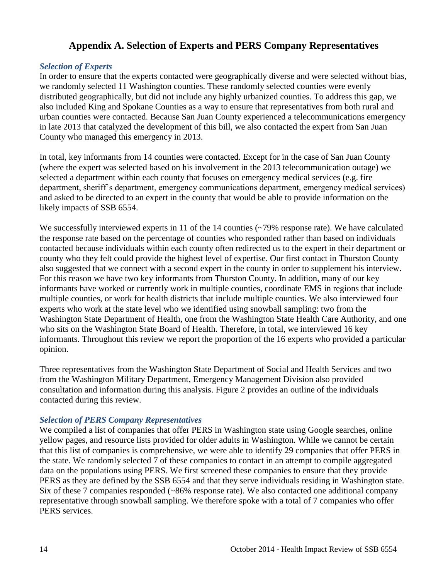## **Appendix A. Selection of Experts and PERS Company Representatives**

#### <span id="page-15-0"></span>*Selection of Experts*

In order to ensure that the experts contacted were geographically diverse and were selected without bias, we randomly selected 11 Washington counties. These randomly selected counties were evenly distributed geographically, but did not include any highly urbanized counties. To address this gap, we also included King and Spokane Counties as a way to ensure that representatives from both rural and urban counties were contacted. Because San Juan County experienced a telecommunications emergency in late 2013 that catalyzed the development of this bill, we also contacted the expert from San Juan County who managed this emergency in 2013.

In total, key informants from 14 counties were contacted. Except for in the case of San Juan County (where the expert was selected based on his involvement in the 2013 telecommunication outage) we selected a department within each county that focuses on emergency medical services (e.g. fire department, sheriff's department, emergency communications department, emergency medical services) and asked to be directed to an expert in the county that would be able to provide information on the likely impacts of SSB 6554.

We successfully interviewed experts in 11 of the 14 counties (~79% response rate). We have calculated the response rate based on the percentage of counties who responded rather than based on individuals contacted because individuals within each county often redirected us to the expert in their department or county who they felt could provide the highest level of expertise. Our first contact in Thurston County also suggested that we connect with a second expert in the county in order to supplement his interview. For this reason we have two key informants from Thurston County. In addition, many of our key informants have worked or currently work in multiple counties, coordinate EMS in regions that include multiple counties, or work for health districts that include multiple counties. We also interviewed four experts who work at the state level who we identified using snowball sampling: two from the Washington State Department of Health, one from the Washington State Health Care Authority, and one who sits on the Washington State Board of Health. Therefore, in total, we interviewed 16 key informants. Throughout this review we report the proportion of the 16 experts who provided a particular opinion.

Three representatives from the Washington State Department of Social and Health Services and two from the Washington Military Department, Emergency Management Division also provided consultation and information during this analysis. Figure 2 provides an outline of the individuals contacted during this review.

#### *Selection of PERS Company Representatives*

We compiled a list of companies that offer PERS in Washington state using Google searches, online yellow pages, and resource lists provided for older adults in Washington. While we cannot be certain that this list of companies is comprehensive, we were able to identify 29 companies that offer PERS in the state. We randomly selected 7 of these companies to contact in an attempt to compile aggregated data on the populations using PERS. We first screened these companies to ensure that they provide PERS as they are defined by the SSB 6554 and that they serve individuals residing in Washington state. Six of these 7 companies responded (~86% response rate). We also contacted one additional company representative through snowball sampling. We therefore spoke with a total of 7 companies who offer PERS services.